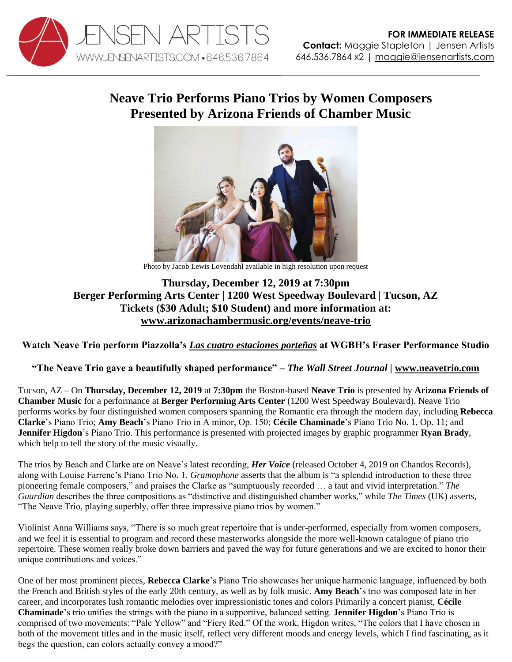

## **Neave Trio Performs Piano Trios by Women Composers Presented by Arizona Friends of Chamber Music**



Photo by Jacob Lewis Lovendahl available in high resolution upon request

## **Thursday, December 12, 2019 at 7:30pm Berger Performing Arts Center | 1200 West Speedway Boulevard | Tucson, AZ Tickets (\$30 Adult; \$10 Student) and more information at: [www.arizonachambermusic.org/events/neave-trio](https://arizonachambermusic.org/events/neave-trio/)**

**Watch Neave Trio perform Piazzolla's** *[Las cuatro estaciones porteñas](https://youtu.be/Xs3a6h4OV-E)* **at WGBH's Fraser Performance Studio**

**"The Neave Trio gave a beautifully shaped performance"** *– The Wall Street Journal |* **[www.neavetrio.com](http://www.neavetrio.com/)**

Tucson, AZ – On **Thursday, December 12, 2019** at **7:30pm** the Boston-based **Neave Trio** is presented by **Arizona Friends of Chamber Music** for a performance at **Berger Performing Arts Center** (1200 West Speedway Boulevard). Neave Trio performs works by four distinguished women composers spanning the Romantic era through the modern day, including **Rebecca Clarke**'s Piano Trio; **Amy Beach**'s Piano Trio in A minor, Op. 150; **Cécile Chaminade**'s Piano Trio No. 1, Op. 11; and **Jennifer Higdon**'s Piano Trio. This performance is presented with projected images by graphic programmer **Ryan Brady**, which help to tell the story of the music visually.

The trios by Beach and Clarke are on Neave's latest recording, *Her Voice* (released October 4, 2019 on Chandos Records), along with Louise Farrenc's Piano Trio No. 1. *Gramophone* asserts that the album is "a splendid introduction to these three pioneering female composers," and praises the Clarke as "sumptuously recorded … a taut and vivid interpretation." *The Guardian* describes the three compositions as "distinctive and distinguished chamber works," while *The Times* (UK) asserts, "The Neave Trio, playing superbly, offer three impressive piano trios by women."

Violinist Anna Williams says, "There is so much great repertoire that is under-performed, especially from women composers, and we feel it is essential to program and record these masterworks alongside the more well-known catalogue of piano trio repertoire. These women really broke down barriers and paved the way for future generations and we are excited to honor their unique contributions and voices."

One of her most prominent pieces, **Rebecca Clarke**'s Piano Trio showcases her unique harmonic language, influenced by both the French and British styles of the early 20th century, as well as by folk music. **Amy Beach**'s trio was composed late in her career, and incorporates lush romantic melodies over impressionistic tones and colors Primarily a concert pianist, **Cécile Chaminade**'s trio unifies the strings with the piano in a supportive, balanced setting. **Jennifer Higdon**'s Piano Trio is comprised of two movements: "Pale Yellow" and "Fiery Red." Of the work, Higdon writes, "The colors that I have chosen in both of the movement titles and in the music itself, reflect very different moods and energy levels, which I find fascinating, as it begs the question, can colors actually convey a mood?"